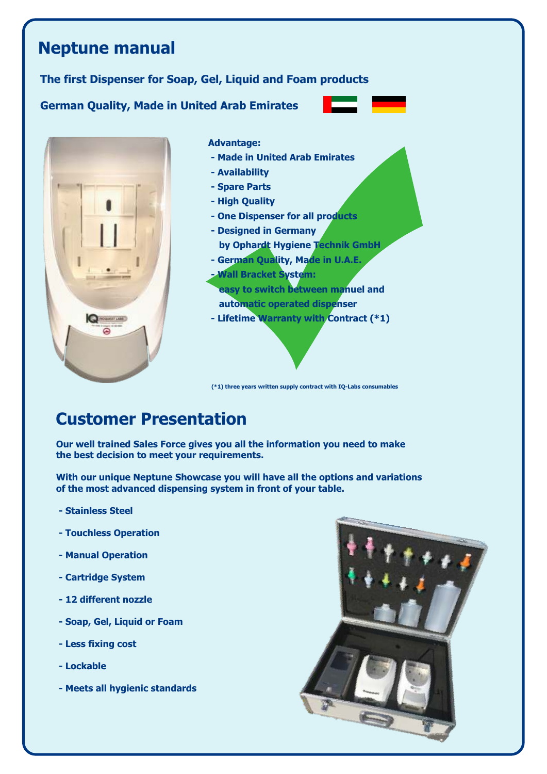# **Neptune manual The first Dispenser for Soap, Gel, Liquid and Foam products German Quality, Made in United Arab Emirates Advantage: - Made in United Arab Emirates - Availability - Spare Parts - High Quality - One Dispenser for all products - Designed in Germany by Ophardt Hygiene Technik GmbH - German Quality, Made in U.A.E. - Wall Bracket System: easy to switch between manuel and automatic operated dispenser - Lifetime Warranty with Contract (\*1) ONGUREY LANT**

**(\*1) three years written supply contract with IQ-Labs consumables**

# **Customer Presentation**

**Our well trained Sales Force gives you all the information you need to make the best decision to meet your requirements.** 

**With our unique Neptune Showcase you will have all the options and variations of the most advanced dispensing system in front of your table.**

- **Stainless Steel**
- **Touchless Operation**
- **Manual Operation**
- **Cartridge System**
- **12 different nozzle**
- **Soap, Gel, Liquid or Foam**
- **Less fixing cost**
- **Lockable**
- **Meets all hygienic standards**